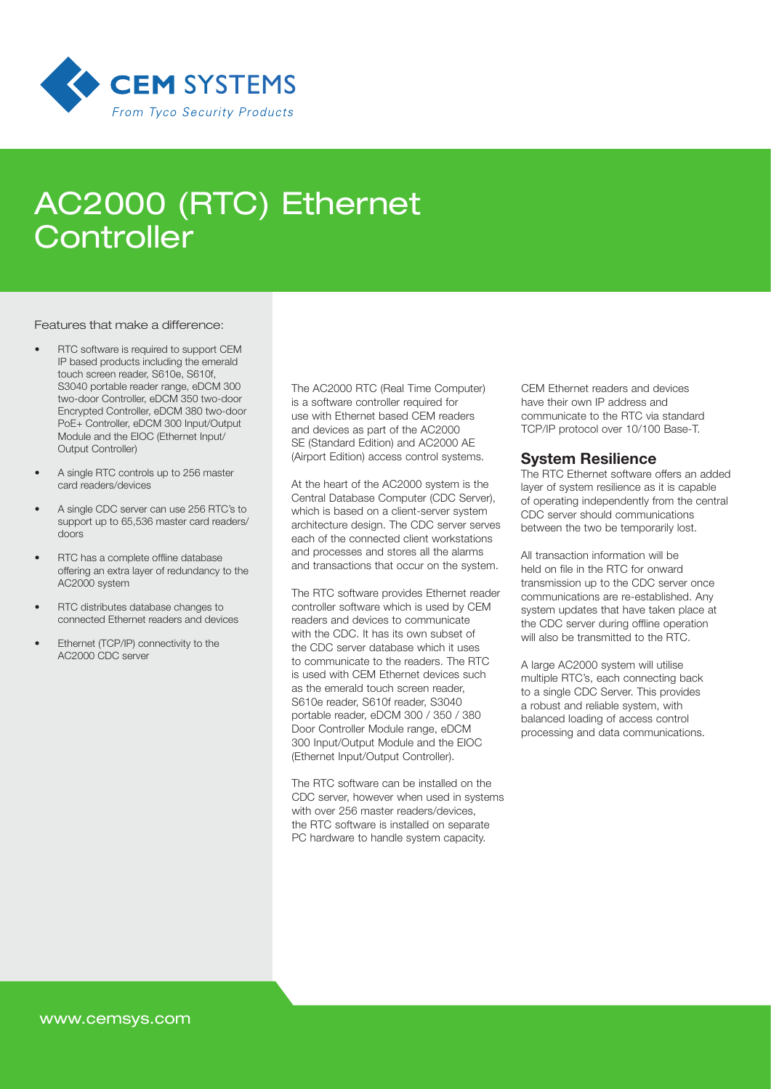

# AC2000 (RTC) Ethernet **Controller**

#### Features that make a difference:

- RTC software is required to support CEM IP based products including the emerald touch screen reader, S610e, S610f, S3040 portable reader range, eDCM 300 two-door Controller, eDCM 350 two-door Encrypted Controller, eDCM 380 two-door PoE+ Controller, eDCM 300 Input/Output Module and the EIOC (Ethernet Input/ Output Controller)
- A single RTC controls up to 256 master card readers/devices
- A single CDC server can use 256 RTC's to support up to 65,536 master card readers/ doors
- RTC has a complete offline database offering an extra layer of redundancy to the AC2000 system
- RTC distributes database changes to connected Ethernet readers and devices
- Ethernet (TCP/IP) connectivity to the AC2000 CDC server

The AC2000 RTC (Real Time Computer) is a software controller required for use with Ethernet based CEM readers and devices as part of the AC2000 SE (Standard Edition) and AC2000 AE (Airport Edition) access control systems.

At the heart of the AC2000 system is the Central Database Computer (CDC Server), which is based on a client-server system architecture design. The CDC server serves each of the connected client workstations and processes and stores all the alarms and transactions that occur on the system.

The RTC software provides Ethernet reader controller software which is used by CEM readers and devices to communicate with the CDC. It has its own subset of the CDC server database which it uses to communicate to the readers. The RTC is used with CEM Ethernet devices such as the emerald touch screen reader, S610e reader, S610f reader, S3040 portable reader, eDCM 300 / 350 / 380 Door Controller Module range, eDCM 300 Input/Output Module and the EIOC (Ethernet Input/Output Controller).

The RTC software can be installed on the CDC server, however when used in systems with over 256 master readers/devices, the RTC software is installed on separate PC hardware to handle system capacity.

CEM Ethernet readers and devices have their own IP address and communicate to the RTC via standard TCP/IP protocol over 10/100 Base-T.

### System Resilience

The RTC Ethernet software offers an added layer of system resilience as it is capable of operating independently from the central CDC server should communications between the two be temporarily lost.

All transaction information will be held on file in the RTC for onward transmission up to the CDC server once communications are re-established. Any system updates that have taken place at the CDC server during offline operation will also be transmitted to the RTC.

A large AC2000 system will utilise multiple RTC's, each connecting back to a single CDC Server. This provides a robust and reliable system, with balanced loading of access control processing and data communications.